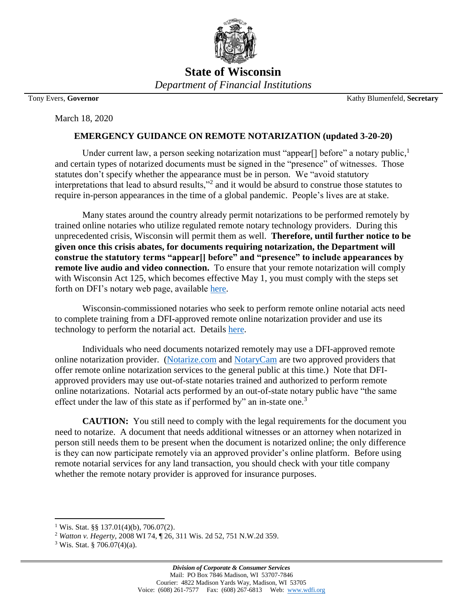

**State of Wisconsin** *Department of Financial Institutions*

March 18, 2020

Tony Evers, **Governor** Kathy Blumenfeld, **Secretary**

## **EMERGENCY GUIDANCE ON REMOTE NOTARIZATION (updated 3-20-20)**

Under current law, a person seeking notarization must "appear[] before" a notary public,<sup>1</sup> and certain types of notarized documents must be signed in the "presence" of witnesses. Those statutes don't specify whether the appearance must be in person. We "avoid statutory interpretations that lead to absurd results,"<sup>2</sup> and it would be absurd to construe those statutes to require in-person appearances in the time of a global pandemic. People's lives are at stake.

Many states around the country already permit notarizations to be performed remotely by trained online notaries who utilize regulated remote notary technology providers. During this unprecedented crisis, Wisconsin will permit them as well. **Therefore, until further notice to be given once this crisis abates, for documents requiring notarization, the Department will construe the statutory terms "appear[] before" and "presence" to include appearances by remote live audio and video connection.** To ensure that your remote notarization will comply with Wisconsin Act 125, which becomes effective May 1, you must comply with the steps set forth on DFI's notary web page, available [here.](http://www.wdfi.org/Apostilles_Notary_Public_and_Trademarks/default.htm)

Wisconsin-commissioned notaries who seek to perform remote online notarial acts need to complete training from a DFI-approved remote online notarization provider and use its technology to perform the notarial act. Details [here.](http://www.wdfi.org/Apostilles_Notary_Public_and_Trademarks/default.htm)

Individuals who need documents notarized remotely may use a DFI-approved remote online notarization provider. [\(Notarize.com](https://www.notarize.com/) and [NotaryCam](http://www.notarycam.com/) are two approved providers that offer remote online notarization services to the general public at this time.) Note that DFIapproved providers may use out-of-state notaries trained and authorized to perform remote online notarizations. Notarial acts performed by an out-of-state notary public have "the same effect under the law of this state as if performed by" an in-state one.<sup>3</sup>

**CAUTION:** You still need to comply with the legal requirements for the document you need to notarize. A document that needs additional witnesses or an attorney when notarized in person still needs them to be present when the document is notarized online; the only difference is they can now participate remotely via an approved provider's online platform. Before using remote notarial services for any land transaction, you should check with your title company whether the remote notary provider is approved for insurance purposes.

 $\overline{\phantom{a}}$ 

<sup>&</sup>lt;sup>1</sup> Wis. Stat. §§ 137.01(4)(b), 706.07(2).

<sup>2</sup> *Watton v. Hegerty*, 2008 WI 74, ¶ 26, 311 Wis. 2d 52, 751 N.W.2d 359.

 $3$  Wis. Stat. § 706.07(4)(a).